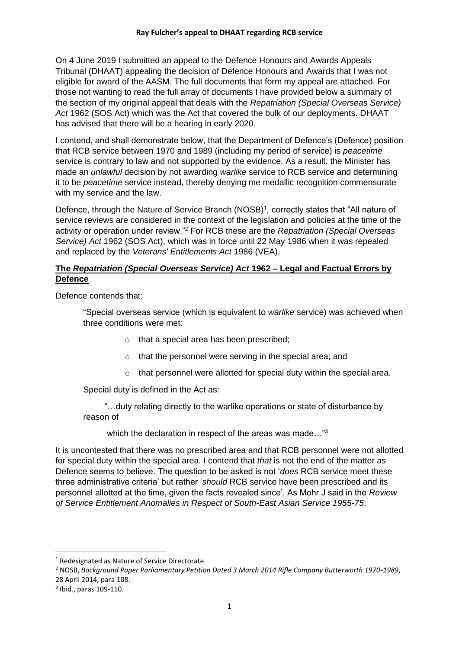On 4 June 2019 I submitted an appeal to the Defence Honours and Awards Appeals Tribunal (DHAAT) appealing the decision of Defence Honours and Awards that I was not eligible for award of the AASM. The full documents that form my appeal are attached. For those not wanting to read the full array of documents I have provided below a summary of the section of my original appeal that deals with the *Repatriation (Special Overseas Service) Act* 1962 (SOS Act) which was the Act that covered the bulk of our deployments. DHAAT has advised that there will be a hearing in early 2020.

I contend, and shall demonstrate below, that the Department of Defence's (Defence) position that RCB service between 1970 and 1989 (including my period of service) is *peacetime* service is contrary to law and not supported by the evidence. As a result, the Minister has made an *unlawful* decision by not awarding *warlike* service to RCB service and determining it to be *peacetime* service instead, thereby denying me medallic recognition commensurate with my service and the law.

Defence, through the Nature of Service Branch (NOSB)<sup>1</sup>, correctly states that "All nature of service reviews are considered in the context of the legislation and policies at the time of the activity or operation under review."<sup>2</sup> For RCB these are the *Repatriation (Special Overseas Service) Act* 1962 (SOS Act), which was in force until 22 May 1986 when it was repealed and replaced by the *Veterans' Entitlements Act* 1986 (VEA).

## **The** *Repatriation (Special Overseas Service) Act* **1962 – Legal and Factual Errors by Defence**

Defence contends that:

"Special overseas service (which is equivalent to *warlike* service) was achieved when three conditions were met:

- o that a special area has been prescribed;
- o that the personnel were serving in the special area; and
- o that personnel were allotted for special duty within the special area.

Special duty is defined in the Act as:

 "…duty relating directly to the warlike operations or state of disturbance by reason of

which the declaration in respect of the areas was made..."<sup>3</sup>

It is uncontested that there was no prescribed area and that RCB personnel were not allotted for special duty within the special area. I contend that *that* is not the end of the matter as Defence seems to believe. The question to be asked is not '*does* RCB service meet these three administrative criteria' but rather '*should* RCB service have been prescribed and its personnel allotted at the time, given the facts revealed since'. As Mohr J said in the *Review of Service Entitlement Anomalies in Respect of South-East Asian Service 1955-75*:

<sup>1</sup> Redesignated as Nature of Service Directorate.

<sup>2</sup> NOSB, *Background Paper Parliamentary Petition Dated 3 March 2014 Rifle Company Butterworth 1970-1989*, 28 April 2014, para 108.

<sup>3</sup> Ibid., paras 109-110.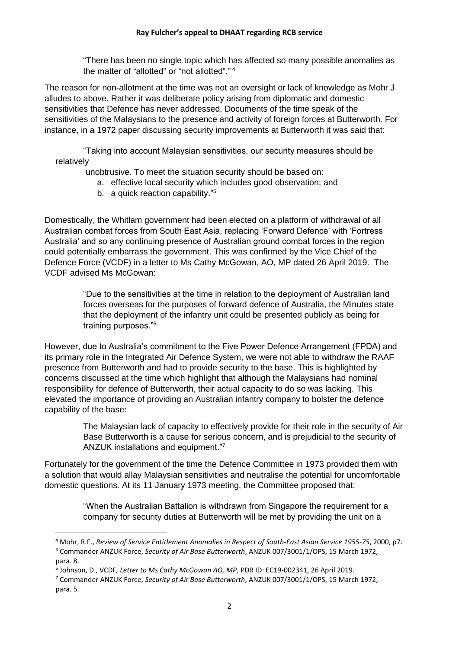"There has been no single topic which has affected so many possible anomalies as the matter of "allotted" or "not allotted"." 4

The reason for non-allotment at the time was not an oversight or lack of knowledge as Mohr J alludes to above. Rather it was deliberate policy arising from diplomatic and domestic sensitivities that Defence has never addressed. Documents of the time speak of the sensitivities of the Malaysians to the presence and activity of foreign forces at Butterworth. For instance, in a 1972 paper discussing security improvements at Butterworth it was said that:

"Taking into account Malaysian sensitivities, our security measures should be relatively

unobtrusive. To meet the situation security should be based on:

- a. effective local security which includes good observation; and
- b. a quick reaction capability."<sup>5</sup>

Domestically, the Whitlam government had been elected on a platform of withdrawal of all Australian combat forces from South East Asia, replacing 'Forward Defence' with 'Fortress Australia' and so any continuing presence of Australian ground combat forces in the region could potentially embarrass the government. This was confirmed by the Vice Chief of the Defence Force (VCDF) in a letter to Ms Cathy McGowan, AO, MP dated 26 April 2019. The VCDF advised Ms McGowan:

> "Due to the sensitivities at the time in relation to the deployment of Australian land forces overseas for the purposes of forward defence of Australia, the Minutes state that the deployment of the infantry unit could be presented publicly as being for training purposes."<sup>6</sup>

However, due to Australia's commitment to the Five Power Defence Arrangement (FPDA) and its primary role in the Integrated Air Defence System, we were not able to withdraw the RAAF presence from Butterworth and had to provide security to the base. This is highlighted by concerns discussed at the time which highlight that although the Malaysians had nominal responsibility for defence of Butterworth, their actual capacity to do so was lacking. This elevated the importance of providing an Australian infantry company to bolster the defence capability of the base:

> The Malaysian lack of capacity to effectively provide for their role in the security of Air Base Butterworth is a cause for serious concern, and is prejudicial to the security of ANZUK installations and equipment."<sup>7</sup>

Fortunately for the government of the time the Defence Committee in 1973 provided them with a solution that would allay Malaysian sensitivities and neutralise the potential for uncomfortable domestic questions. At its 11 January 1973 meeting, the Committee proposed that:

> "When the Australian Battalion is withdrawn from Singapore the requirement for a company for security duties at Butterworth will be met by providing the unit on a

<sup>4</sup> Mohr, R.F., *Review of Service Entitlement Anomalies in Respect of South-East Asian Service 1955-75*, 2000, p7. <sup>5</sup> Commander ANZUK Force, *Security of Air Base Butterworth*, ANZUK 007/3001/1/OPS, 15 March 1972,

para. 8.

<sup>6</sup> Johnson, D., VCDF*, Letter to Ms Cathy McGowan AO, MP*, PDR ID: EC19-002341, 26 April 2019.

<sup>7</sup> Commander ANZUK Force, *Security of Air Base Butterworth*, ANZUK 007/3001/1/OPS, 15 March 1972, para. 5.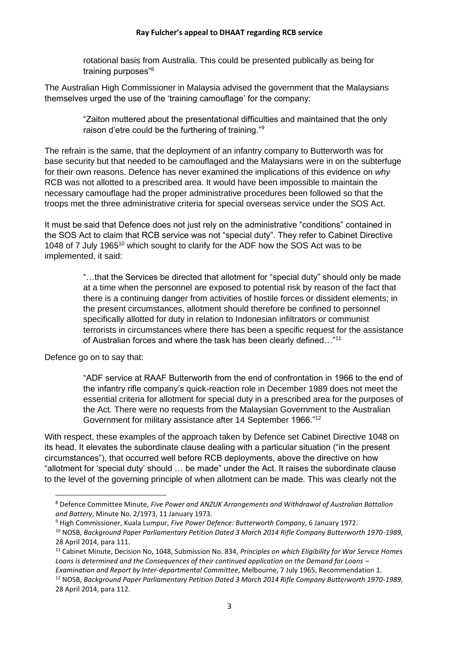## **Ray Fulcher's appeal to DHAAT regarding RCB service**

rotational basis from Australia. This could be presented publically as being for training purposes"<sup>8</sup>

The Australian High Commissioner in Malaysia advised the government that the Malaysians themselves urged the use of the 'training camouflage' for the company:

> "Zaiton muttered about the presentational difficulties and maintained that the only raison d'etre could be the furthering of training."<sup>9</sup>

The refrain is the same, that the deployment of an infantry company to Butterworth was for base security but that needed to be camouflaged and the Malaysians were in on the subterfuge for their own reasons. Defence has never examined the implications of this evidence on *why* RCB was not allotted to a prescribed area. It would have been impossible to maintain the necessary camouflage had the proper administrative procedures been followed so that the troops met the three administrative criteria for special overseas service under the SOS Act.

It must be said that Defence does not just rely on the administrative "conditions" contained in the SOS Act to claim that RCB service was not "special duty". They refer to Cabinet Directive 1048 of 7 July 1965<sup>10</sup> which sought to clarify for the ADF how the SOS Act was to be implemented, it said:

> "…that the Services be directed that allotment for "special duty" should only be made at a time when the personnel are exposed to potential risk by reason of the fact that there is a continuing danger from activities of hostile forces or dissident elements; in the present circumstances, allotment should therefore be confined to personnel specifically allotted for duty in relation to Indonesian infiltrators or communist terrorists in circumstances where there has been a specific request for the assistance of Australian forces and where the task has been clearly defined…"<sup>11</sup>

Defence go on to say that:

"ADF service at RAAF Butterworth from the end of confrontation in 1966 to the end of the infantry rifle company's quick-reaction role in December 1989 does not meet the essential criteria for allotment for special duty in a prescribed area for the purposes of the Act. There were no requests from the Malaysian Government to the Australian Government for military assistance after 14 September 1966."<sup>12</sup>

With respect, these examples of the approach taken by Defence set Cabinet Directive 1048 on its head. It elevates the subordinate clause dealing with a particular situation ("in the present circumstances"), that occurred well before RCB deployments, above the directive on how "allotment for 'special duty' should … be made" under the Act. It raises the subordinate clause to the level of the governing principle of when allotment can be made. This was clearly not the

<sup>8</sup> Defence Committee Minute, *Five Power and ANZUK Arrangements and Withdrawal of Australian Battalion and Battery*, Minute No. 2/1973, 11 January 1973.

<sup>9</sup> High Commissioner, Kuala Lumpur, *Five Power Defence: Butterworth Company*, 6 January 1972.

<sup>10</sup> NOSB, *Background Paper Parliamentary Petition Dated 3 March 2014 Rifle Company Butterworth 1970-1989*, 28 April 2014, para 111.

<sup>11</sup> Cabinet Minute, Decision No, 1048, Submission No. 834, *Principles on which Eligibility for War Service Homes Loans is determined and the Consequences of their continued application on the Demand for Loans –*

*Examination and Report by Inter-departmental Committee*, Melbourne, 7 July 1965, Recommendation 1.

<sup>12</sup> NOSB, *Background Paper Parliamentary Petition Dated 3 March 2014 Rifle Company Butterworth 1970-1989*, 28 April 2014, para 112.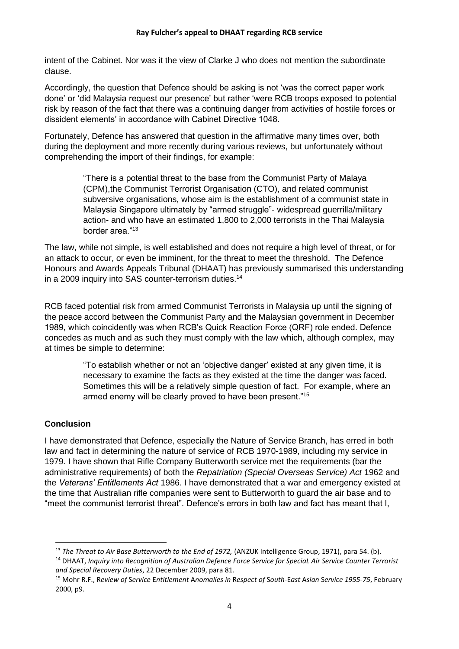intent of the Cabinet. Nor was it the view of Clarke J who does not mention the subordinate clause.

Accordingly, the question that Defence should be asking is not 'was the correct paper work done' or 'did Malaysia request our presence' but rather 'were RCB troops exposed to potential risk by reason of the fact that there was a continuing danger from activities of hostile forces or dissident elements' in accordance with Cabinet Directive 1048.

Fortunately, Defence has answered that question in the affirmative many times over, both during the deployment and more recently during various reviews, but unfortunately without comprehending the import of their findings, for example:

> "There is a potential threat to the base from the Communist Party of Malaya (CPM),the Communist Terrorist Organisation (CTO), and related communist subversive organisations, whose aim is the establishment of a communist state in Malaysia Singapore ultimately by "armed struggle"- widespread guerrilla/military action- and who have an estimated 1,800 to 2,000 terrorists in the Thai Malaysia border area."<sup>13</sup>

The law, while not simple, is well established and does not require a high level of threat, or for an attack to occur, or even be imminent, for the threat to meet the threshold. The Defence Honours and Awards Appeals Tribunal (DHAAT) has previously summarised this understanding in a 2009 inquiry into SAS counter-terrorism duties.<sup>14</sup>

RCB faced potential risk from armed Communist Terrorists in Malaysia up until the signing of the peace accord between the Communist Party and the Malaysian government in December 1989, which coincidently was when RCB's Quick Reaction Force (QRF) role ended. Defence concedes as much and as such they must comply with the law which, although complex, may at times be simple to determine:

> "To establish whether or not an 'objective danger' existed at any given time, it is necessary to examine the facts as they existed at the time the danger was faced. Sometimes this will be a relatively simple question of fact. For example, where an armed enemy will be clearly proved to have been present."<sup>15</sup>

## **Conclusion**

I have demonstrated that Defence, especially the Nature of Service Branch, has erred in both law and fact in determining the nature of service of RCB 1970-1989, including my service in 1979. I have shown that Rifle Company Butterworth service met the requirements (bar the administrative requirements) of both the *Repatriation (Special Overseas Service) Act* 1962 and the *Veterans' Entitlements Act* 1986. I have demonstrated that a war and emergency existed at the time that Australian rifle companies were sent to Butterworth to guard the air base and to "meet the communist terrorist threat". Defence's errors in both law and fact has meant that I,

<sup>13</sup> *The Threat to Air Base Butterworth to the End of 1972,* (ANZUK Intelligence Group, 1971), para 54. (b).

<sup>14</sup> DHAAT, *Inquiry into Recognition of Australian Defence Force Service for SpeciaL Air Service Counter Terrorist and Special Recovery Duties*, 22 December 2009, para 81.

<sup>15</sup> Mohr R.F., R*eview of* S*ervice* E*ntitlement* A*nomalies in* R*espect of* S*outh*-E*ast* A*sian* S*ervice 1955-75*, February 2000, p9.